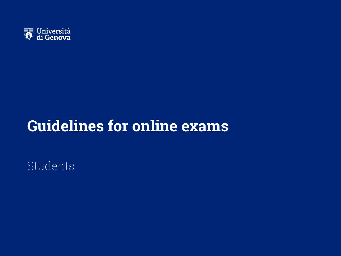

# **Guidelines for online exams**

Students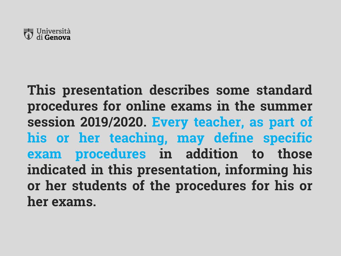

**This presentation describes some standard procedures for online exams in the summer session 2019/2020. Every teacher, as part of his or her teaching, may define specific exam procedures in addition to those indicated in this presentation, informing his or her students of the procedures for his or her exams.**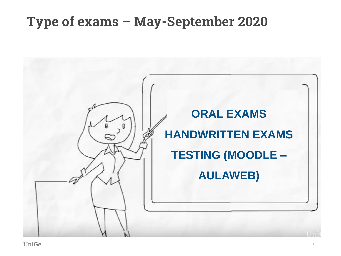### **Type of exams – May-September 2020**



**UniGe**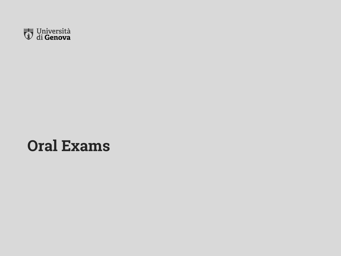

# **Oral Exams**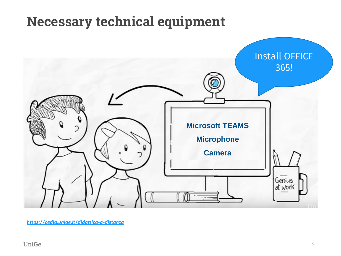## **Necessary technical equipment**



*<https://cedia.unige.it/didattica-a-distanza>*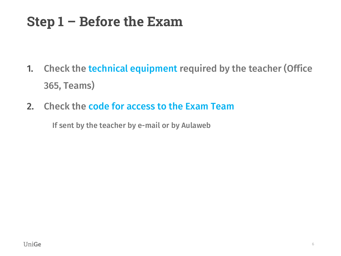# **Step 1 – Before the Exam**

- 1. Check the technical equipment required by the teacher (Office 365, Teams)
- 2. Check the code for access to the Exam Team

If sent by the teacher by e-mail or by Aulaweb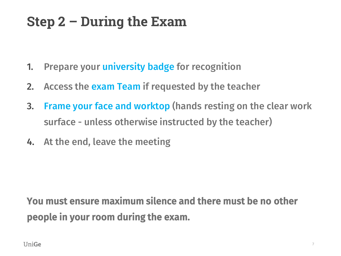# **Step 2 – During the Exam**

- 1. Prepare your university badge for recognition
- 2. Access the exam Team if requested by the teacher
- 3. Frame your face and worktop (hands resting on the clear work surface - unless otherwise instructed by the teacher)
- 4. At the end, leave the meeting

### You must ensure maximum silence and there must be no other people in your room during the exam.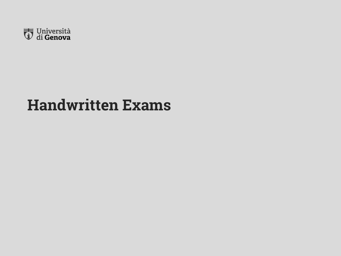

# **Handwritten Exams**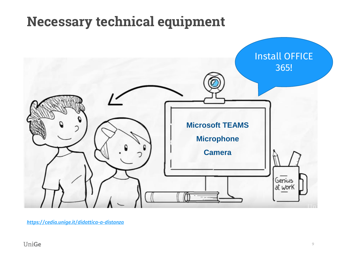## **Necessary technical equipment**



*<https://cedia.unige.it/didattica-a-distanza>*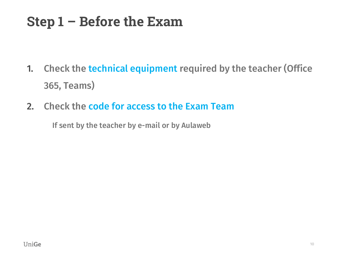# **Step 1 – Before the Exam**

- 1. Check the technical equipment required by the teacher (Office 365, Teams)
- 2. Check the code for access to the Exam Team

If sent by the teacher by e-mail or by Aulaweb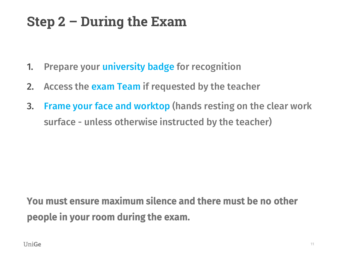## **Step 2 – During the Exam**

- 1. Prepare your university badge for recognition
- 2. Access the exam Team if requested by the teacher
- 3. Frame your face and worktop (hands resting on the clear work surface - unless otherwise instructed by the teacher)

### You must ensure maximum silence and there must be no other people in your room during the exam.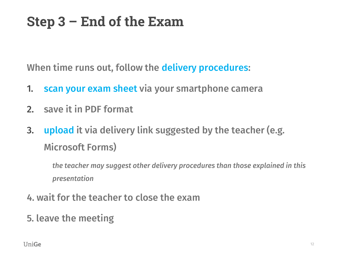# **Step 3 – End of the Exam**

When time runs out, follow the delivery procedures:

- 1. scan your exam sheet via your smartphone camera
- 2. save it in PDF format
- 3. upload it via delivery link suggested by the teacher (e.g. Microsoft Forms)

*the teacher may suggest other delivery procedures than those explained in this presentation*

- 4. wait for the teacher to close the exam
- 5. leave the meeting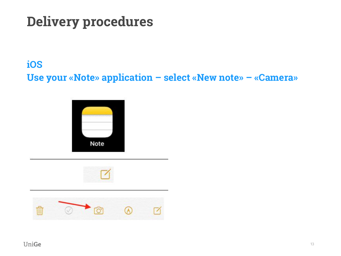#### **iOS**

**Use your «Note» application – select «New note» – «Camera»**





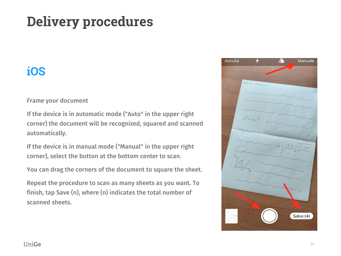### **iOS**

Frame your document

If the device is in automatic mode ("Auto" in the upper right corner) the document will be recognized, squared and scanned automatically.

If the device is in manual mode ("Manual" in the upper right corner), select the button at the bottom center to scan.

You can drag the corners of the document to square the sheet.

Repeat the procedure to scan as many sheets as you want. To finish, tap Save (n), where (n) indicates the total number of scanned sheets.

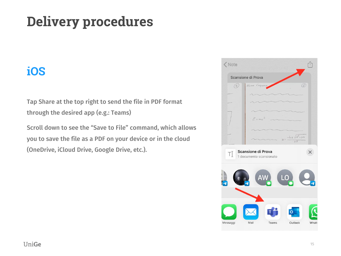### **iOS**

Tap Share at the top right to send the file in PDF format through the desired app (e.g.: Teams)

Scroll down to see the "Save to File" command, which allows you to save the file as a PDF on your device or in the cloud (OneDrive, iCloud Drive, Google Drive, etc.).

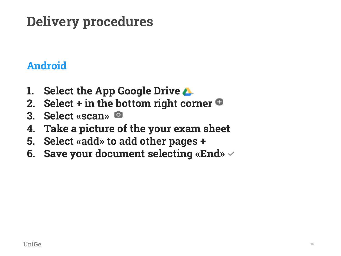### **Android**

- **1. Select the App Google Drive**
- **2. Select + in the bottom right corner**
- **3. Select «scan»**
- **4. Take a picture of the your exam sheet**
- **5. Select «add» to add other pages +**
- **6. Save your document selecting «End»**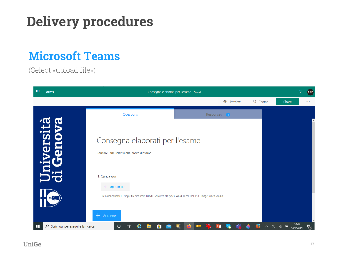### **Microsoft Teams**

(Select «upload file»)

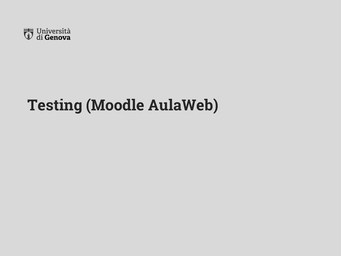

# **Testing (Moodle AulaWeb)**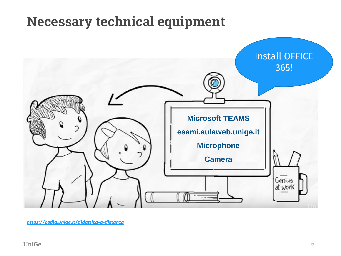## **Necessary technical equipment**



*<https://cedia.unige.it/didattica-a-distanza>*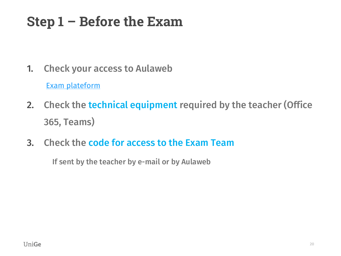# **Step 1 – Before the Exam**

1. Check your access to Aulaweb

[Exam](mailto:https://esami.aulaweb.unige.it/) [plateform](mailto:https://esami.aulaweb.unige.it/)

- 2. Check the technical equipment required by the teacher (Office 365, Teams)
- 3. Check the code for access to the Exam Team

If sent by the teacher by e-mail or by Aulaweb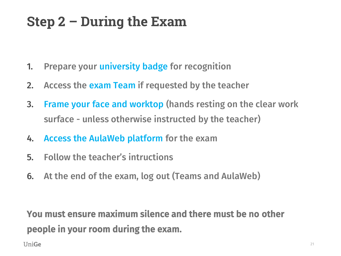# **Step 2 – During the Exam**

- 1. Prepare your university badge for recognition
- 2. Access the exam Team if requested by the teacher
- 3. Frame your face and worktop (hands resting on the clear work surface - unless otherwise instructed by the teacher)
- 4. Access the AulaWeb platform for the exam
- 5. Follow the teacher's intructions
- 6. At the end of the exam, log out (Teams and AulaWeb)

You must ensure maximum silence and there must be no other people in your room during the exam.

UniGe